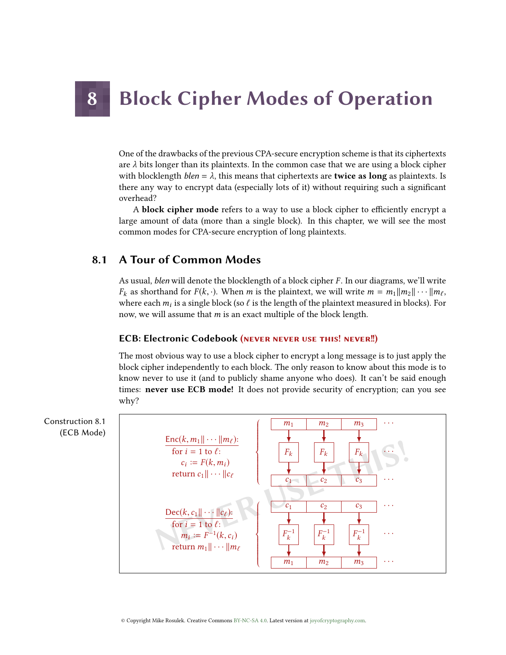# 8 Block Cipher Modes of Operation

One of the drawbacks of the previous CPA-secure encryption scheme is that its ciphertexts are  $\lambda$  bits longer than its plaintexts. In the common case that we are using a block cipher with blocklength *blen* =  $\lambda$ , this means that ciphertexts are **twice as long** as plaintexts. Is there any way to encrypt data (especially lots of it) without requiring such a signicant overhead?

A **block cipher mode** refers to a way to use a block cipher to efficiently encrypt a large amount of data (more than a single block). In this chapter, we will see the most common modes for CPA-secure encryption of long plaintexts.

## 8.1 A Tour of Common Modes

As usual, blen will denote the blocklength of a block cipher  $F$ . In our diagrams, we'll write  $F_k$  as shorthand for  $F(k, \cdot)$ . When m is the plaintext, we will write  $m = m_1 || m_2 || \cdots || m_\ell$ , where each  $m_i$  is a single block (so  $\ell$  is the length of the plaintext measured in blocks). For<br>now, we will assume that m is an exact multiple of the block length now, we will assume that m is an exact multiple of the block length.

#### ECB: Electronic Codebook (never never use this! never‼)

The most obvious way to use a block cipher to encrypt a long message is to just apply the block cipher independently to each block. The only reason to know about this mode is to know never to use it (and to publicly shame anyone who does). It can't be said enough times: never use ECB mode! It does not provide security of encryption; can you see why?

Construction 8.1 (ECB Mode)

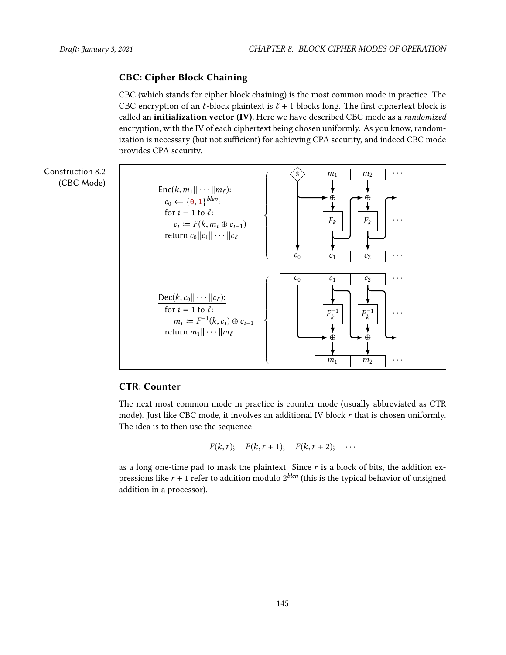#### CBC: Cipher Block Chaining

CBC (which stands for cipher block chaining) is the most common mode in practice. The CBC encryption of an  $\ell$ -block plaintext is  $\ell + 1$  blocks long. The first ciphertext block is called an initialization vector (IV). Here we have described CBC mode as a randomized encryption, with the IV of each ciphertext being chosen uniformly. As you know, randomization is necessary (but not sufficient) for achieving CPA security, and indeed CBC mode provides CPA security.



#### CTR: Counter

The next most common mode in practice is counter mode (usually abbreviated as CTR mode). Just like CBC mode, it involves an additional IV block r that is chosen uniformly. The idea is to then use the sequence

$$
F(k,r); \quad F(k,r+1); \quad F(k,r+2); \quad \cdots
$$

as a long one-time pad to mask the plaintext. Since  $r$  is a block of bits, the addition expressions like  $r + 1$  refer to addition modulo  $2^{blen}$  (this is the typical behavior of unsigned<br>addition in a processor) addition in a processor).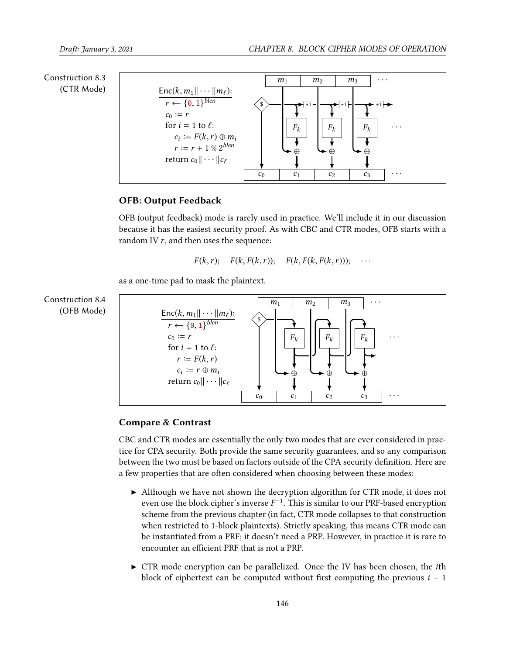

#### OFB: Output Feedback

OFB (output feedback) mode is rarely used in practice. We'll include it in our discussion because it has the easiest security proof. As with CBC and CTR modes, OFB starts with a random IV  $r$ , and then uses the sequence:

 $F(k, r);$   $F(k, F(k, r));$   $F(k, F(k, F(k, r)));$   $\cdots$ 

<span id="page-2-0"></span>as a one-time pad to mask the plaintext.

Construction 8.4



#### Compare & Contrast

CBC and CTR modes are essentially the only two modes that are ever considered in practice for CPA security. Both provide the same security guarantees, and so any comparison between the two must be based on factors outside of the CPA security definition. Here are a few properties that are often considered when choosing between these modes:

- $\blacktriangleright$  Although we have not shown the decryption algorithm for CTR mode, it does not even use the block cipher's inverse  $F^{-1}$ . This is similar to our PRF-based encryption<br>scheme from the previous chapter (in fact. CTP mode collapses to that construction scheme from the previous chapter (in fact, CTR mode collapses to that construction when restricted to 1-block plaintexts). Strictly speaking, this means CTR mode can be instantiated from a PRF; it doesn't need a PRP. However, in practice it is rare to encounter an efficient PRF that is not a PRP.
- $\triangleright$  CTR mode encryption can be parallelized. Once the IV has been chosen, the *i*th block of ciphertext can be computed without first computing the previous  $i - 1$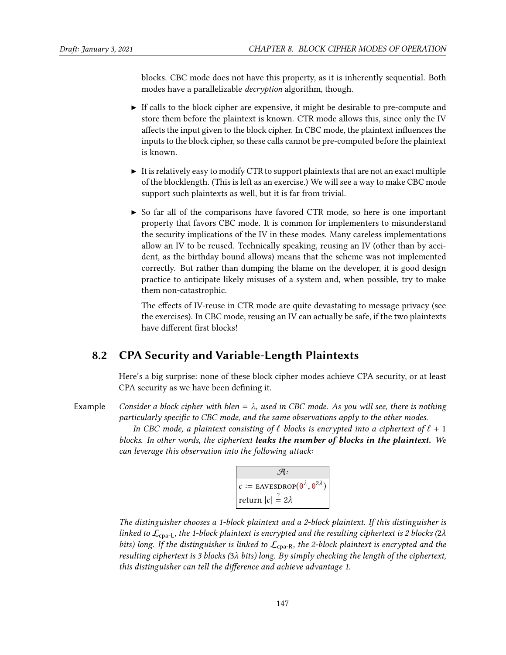blocks. CBC mode does not have this property, as it is inherently sequential. Both modes have a parallelizable *decryption* algorithm, though.

- $\triangleright$  If calls to the block cipher are expensive, it might be desirable to pre-compute and store them before the plaintext is known. CTR mode allows this, since only the IV affects the input given to the block cipher. In CBC mode, the plaintext influences the inputs to the block cipher, so these calls cannot be pre-computed before the plaintext is known.
- $\triangleright$  It is relatively easy to modify CTR to support plaintexts that are not an exact multiple of the blocklength. (This is left as an exercise.) We will see a way to make CBC mode support such plaintexts as well, but it is far from trivial.
- $\triangleright$  So far all of the comparisons have favored CTR mode, so here is one important property that favors CBC mode. It is common for implementers to misunderstand the security implications of the IV in these modes. Many careless implementations allow an IV to be reused. Technically speaking, reusing an IV (other than by accident, as the birthday bound allows) means that the scheme was not implemented correctly. But rather than dumping the blame on the developer, it is good design practice to anticipate likely misuses of a system and, when possible, try to make them non-catastrophic.

The effects of IV-reuse in CTR mode are quite devastating to message privacy (see the exercises). In CBC mode, reusing an IV can actually be safe, if the two plaintexts have different first blocks!

### <span id="page-3-0"></span>8.2 CPA Security and Variable-Length Plaintexts

Here's a big surprise: none of these block cipher modes achieve CPA security, or at least CPA security as we have been defining it.

Example Consider a block cipher with blen  $= \lambda$ , used in CBC mode. As you will see, there is nothing particularly specific to CBC mode, and the same observations apply to the other modes.

> In CBC mode, a plaintext consisting of  $\ell$  blocks is encrypted into a ciphertext of  $\ell + 1$ blocks. In other words, the ciphertext **leaks the number of blocks in the plaintext**. We can leverage this observation into the following attack:



The distinguisher chooses a 1-block plaintext and a 2-block plaintext. If this distinguisher is linked to  $\mathcal{L}_{\text{cpa-L}}$ , the 1-block plaintext is encrypted and the resulting ciphertext is 2 blocks (2 $\lambda$ bits) long. If the distinguisher is linked to  $\mathcal{L}_{\text{cpa-R}}$ , the 2-block plaintext is encrypted and the resulting ciphertext is 3 blocks (3 $\lambda$  bits) long. By simply checking the length of the ciphertext, this distinguisher can tell the difference and achieve advantage 1.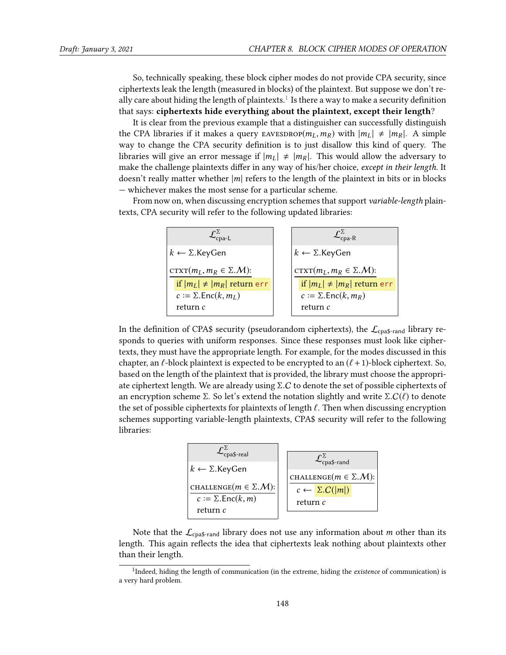So, technically speaking, these block cipher modes do not provide CPA security, since ciphertexts leak the length (measured in blocks) of the plaintext. But suppose we don't really care about hiding the length of plaintexts. $^1$  $^1$  Is there a way to make a security definition that says: ciphertexts hide everything about the plaintext, except their length?

It is clear from the previous example that a distinguisher can successfully distinguish the CPA libraries if it makes a query EAVESDROP( $m_L, m_R$ ) with  $|m_L| \neq |m_R|$ . A simple way to change the CPA security definition is to just disallow this kind of query. The libraries will give an error message if  $|m_L| \neq |m_R|$ . This would allow the adversary to make the challenge plaintexts differ in any way of his/her choice, except in their length. It doesn't really matter whether  $|m|$  refers to the length of the plaintext in bits or in blocks — whichever makes the most sense for a particular scheme.

From now on, when discussing encryption schemes that support variable-length plaintexts, CPA security will refer to the following updated libraries:



In the definition of CPA\$ security (pseudorandom ciphertexts), the  $\mathcal{L}_{\text{cpa$-rand}}$  library responds to queries with uniform responses. Since these responses must look like ciphertexts, they must have the appropriate length. For example, for the modes discussed in this chapter, an  $\ell$ -block plaintext is expected to be encrypted to an  $(\ell + 1)$ -block ciphertext. So, based on the length of the plaintext that is provided, the library must choose the appropriate ciphertext length. We are already using  $\Sigma.C$  to denote the set of possible ciphertexts of an encryption scheme Σ. So let's extend the notation slightly and write  $\Sigma \cdot C(\ell)$  to denote the set of possible ciphertexts for plaintexts of length  $\ell$ . Then when discussing encryption schemes supporting variable-length plaintexts, CPA\$ security will refer to the following libraries:

| $\mathcal{L}^{\scriptscriptstyle \angle}_{\scriptscriptstyle \rm cpa\$ -real |                                                     |
|------------------------------------------------------------------------------|-----------------------------------------------------|
| $k \leftarrow \Sigma$ .KeyGen                                                | $\mathcal{L}^{\Sigma}_{\mathsf{cpa\$}\text{-rand}}$ |
|                                                                              | CHALLENGE( $m \in \Sigma \mathcal{M}$ ):            |
| CHALLENGE( $m \in \Sigma \mathcal{M}$ ):                                     | $c \leftarrow \Sigma.C( m )$                        |
| $c \coloneqq \Sigma$ . Enc $(k, m)$<br>return c                              | return c                                            |
|                                                                              |                                                     |

Note that the  $\mathcal{L}_{\text{cpa$-rand library does not use any information about } m \text{ other than its }$ length. This again reflects the idea that ciphertexts leak nothing about plaintexts other than their length.

<span id="page-4-0"></span><sup>&</sup>lt;sup>1</sup>Indeed, hiding the length of communication (in the extreme, hiding the existence of communication) is a very hard problem.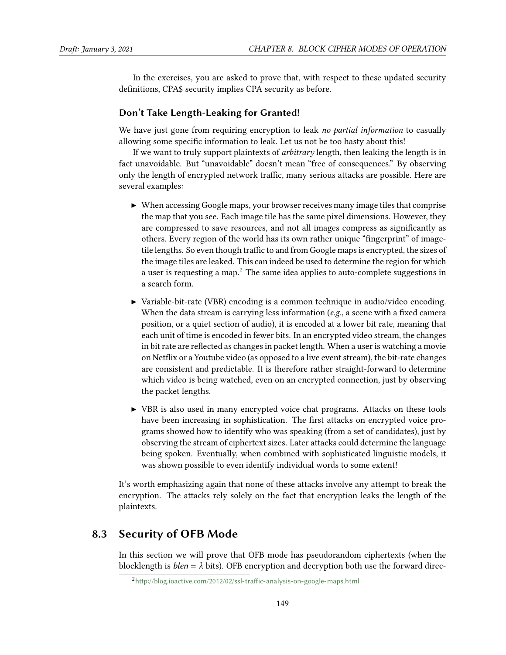In the exercises, you are asked to prove that, with respect to these updated security definitions, CPA\$ security implies CPA security as before.

#### Don't Take Length-Leaking for Granted!

We have just gone from requiring encryption to leak no partial information to casually allowing some specific information to leak. Let us not be too hasty about this!

If we want to truly support plaintexts of *arbitrary* length, then leaking the length is in fact unavoidable. But "unavoidable" doesn't mean "free of consequences." By observing only the length of encrypted network traffic, many serious attacks are possible. Here are several examples:

- $\triangleright$  When accessing Google maps, your browser receives many image tiles that comprise the map that you see. Each image tile has the same pixel dimensions. However, they are compressed to save resources, and not all images compress as signicantly as others. Every region of the world has its own rather unique "fingerprint" of imagetile lengths. So even though traffic to and from Google maps is encrypted, the sizes of the image tiles are leaked. This can indeed be used to determine the region for which a user is requesting a map.<sup>[2](#page-5-0)</sup> The same idea applies to auto-complete suggestions in a search form.
- ▶ Variable-bit-rate (VBR) encoding is a common technique in audio/video encoding. When the data stream is carrying less information ( $e.g.,$  a scene with a fixed camera position, or a quiet section of audio), it is encoded at a lower bit rate, meaning that each unit of time is encoded in fewer bits. In an encrypted video stream, the changes in bit rate are reflected as changes in packet length. When a user is watching a movie on Netix or a Youtube video (as opposed to a live event stream), the bit-rate changes are consistent and predictable. It is therefore rather straight-forward to determine which video is being watched, even on an encrypted connection, just by observing the packet lengths.
- ▶ VBR is also used in many encrypted voice chat programs. Attacks on these tools have been increasing in sophistication. The first attacks on encrypted voice programs showed how to identify who was speaking (from a set of candidates), just by observing the stream of ciphertext sizes. Later attacks could determine the language being spoken. Eventually, when combined with sophisticated linguistic models, it was shown possible to even identify individual words to some extent!

It's worth emphasizing again that none of these attacks involve any attempt to break the encryption. The attacks rely solely on the fact that encryption leaks the length of the plaintexts.

## 8.3 Security of OFB Mode

In this section we will prove that OFB mode has pseudorandom ciphertexts (when the blocklength is *blen* =  $\lambda$  bits). OFB encryption and decryption both use the forward direc-

<span id="page-5-0"></span> $^{2}$ http://blog.ioactive.com/2012/02/ssl-traffic-analysis-on-google-maps.html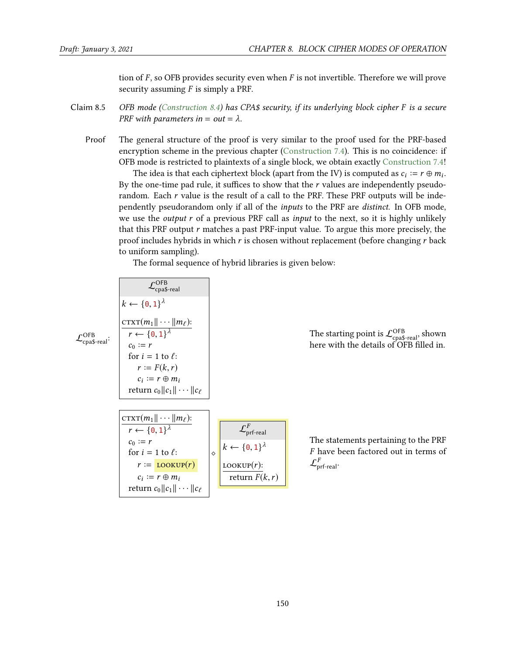tion of  $F$ , so OFB provides security even when  $F$  is not invertible. Therefore we will prove security assuming  $F$  is simply a PRF.

- Claim 8.5 OFB mode [\(Construction 8.4\)](#page-2-0) has CPA\$ security, if its underlying block cipher F is a secure PRF with parameters in = out =  $\lambda$ .
	- Proof The general structure of the proof is very similar to the proof used for the PRF-based encryption scheme in the previous chapter [\(Construction 7.4\)](#page--1-0). This is no coincidence: if OFB mode is restricted to plaintexts of a single block, we obtain exactly [Construction 7.4!](#page--1-0)

The idea is that each ciphertext block (apart from the IV) is computed as  $c_i := r \oplus m_i$ .<br>the one-time nad rule, it suffices to show that the r values are independently neardo-By the one-time pad rule, it suffices to show that the  $r$  values are independently pseudorandom. Each  $r$  value is the result of a call to the PRF. These PRF outputs will be independently pseudorandom only if all of the inputs to the PRF are distinct. In OFB mode, we use the *output*  $r$  of a previous PRF call as *input* to the next, so it is highly unlikely that this PRF output  $r$  matches a past PRF-input value. To argue this more precisely, the proof includes hybrids in which  $r$  is chosen without replacement (before changing  $r$  back to uniform sampling).

The formal sequence of hybrid libraries is given below:

| $\mathcal{L}_{\text{coa$--real}}^{\text{OFB}}$ : | COFB<br>Cpa\$-real<br>$k \leftarrow \{0,1\}^{\lambda}$<br>CTXT $(m_1 \mid \mid \cdots \mid m_\ell)$ :<br>$r \leftarrow \{0,1\}^{\lambda}$<br>$c_0 \coloneqq r$<br>for $i = 1$ to $\ell$ :<br>$r := F(k,r)$<br>$c_i := r \oplus m_i$<br>return $c_0    c_1    \cdots    c_\ell$ |                                                                                                                                                                                       | The starting point is $\mathcal{L}_{\text{cpa$-real}}^{\text{OFB}}$ , shown<br>here with the details of OFB filled in. |
|--------------------------------------------------|--------------------------------------------------------------------------------------------------------------------------------------------------------------------------------------------------------------------------------------------------------------------------------|---------------------------------------------------------------------------------------------------------------------------------------------------------------------------------------|------------------------------------------------------------------------------------------------------------------------|
|                                                  | CTXT $(m_1 \mid \mid \cdots \mid m_\ell)$ :<br>$r \leftarrow \{0,1\}^{\lambda}$<br>$c_0 := r$<br>for $i = 1$ to $\ell$ :<br>$r \coloneqq \text{LOOKUP}(r)$<br>$c_i := r \oplus m_i$<br>return $c_0    c_1    \cdots    c_\ell$                                                 | $\begin{array}{c}\mathcal{L}^F_{{\rm prf}\text{-}{\rm real}}\\ k\leftarrow \left\{ \begin{matrix} 0,1 \end{matrix} \right\} ^\lambda\end{array}$<br>$LOOKUP(r)$ :<br>return $F(k, r)$ | The statements pertaining to the PRF<br>F have been factored out in terms of<br>$\mathcal{L}_{\text{prf-real}}^{F}$ .  |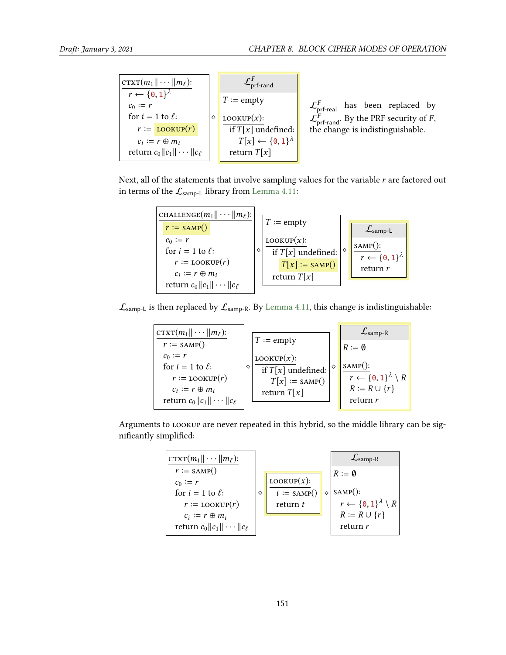| CTXT $(m_1 \ \cdots \  m_\ell)$ :                     |   | $\mathcal{L}_{\text{prf-rand}}^{F}$    |                                                                                                   |
|-------------------------------------------------------|---|----------------------------------------|---------------------------------------------------------------------------------------------------|
| $r \leftarrow \{0,1\}^{\lambda}$<br>$c_0 \coloneqq r$ |   | $T := \text{empty}$                    | $\mathcal{L}_{\text{prf-real}}^F$ has been replaced by                                            |
| for $i = 1$ to $\ell$ :<br>$r := \text{LOOKUP}(r)$    | ♦ | LOOKUP $(x)$ :<br>if $T[x]$ undefined: | $\mathcal{L}_{\text{prf-rand}}^F$ . By the PRF security of F,<br>the change is indistinguishable. |
| $c_i := r \oplus m_i$                                 |   | $T[x] \leftarrow \{0,1\}^{\lambda}$    |                                                                                                   |
| return $c_0    c_1    \cdots    c_\ell$               |   | return $T[x]$                          |                                                                                                   |

Next, all of the statements that involve sampling values for the variable  $r$  are factored out in terms of the  $\mathcal{L}_{\text{sample}}$  library from [Lemma 4.11:](#page--1-1)



 $\mathcal{L}_{\text{sample}}$  is then replaced by  $\mathcal{L}_{\text{sample}}$ . By [Lemma 4.11,](#page--1-1) this change is indistinguishable:

| CTXT $(m_1 \ \cdots \  m_\ell)$ :                                |   |                                       |   | $\mathcal{L}_{\text{sampleR}}$                                      |
|------------------------------------------------------------------|---|---------------------------------------|---|---------------------------------------------------------------------|
| $r \coloneqq$ SAMP()                                             |   | $T \coloneqq \text{empty}$            |   | $R \coloneqq \emptyset$                                             |
| $c_0 := r$<br>for $i = 1$ to $\ell$ :                            | ♦ | $LOOKUP(x)$ :<br>if $T[x]$ undefined: | ♦ | $SAMP$ :                                                            |
| $r := \text{LOOKUP}(r)$                                          |   | $T[x] \coloneqq$ SAMP()               |   | $r \leftarrow \{0,1\}^{\lambda} \setminus R$<br>$R := R \cup \{r\}$ |
| $c_i := r \oplus m_i$<br>return $c_0    c_1    \cdots    c_\ell$ |   | return $T[x]$                         |   | return r                                                            |

Arguments to lookup are never repeated in this hybrid, so the middle library can be significantly simplified:

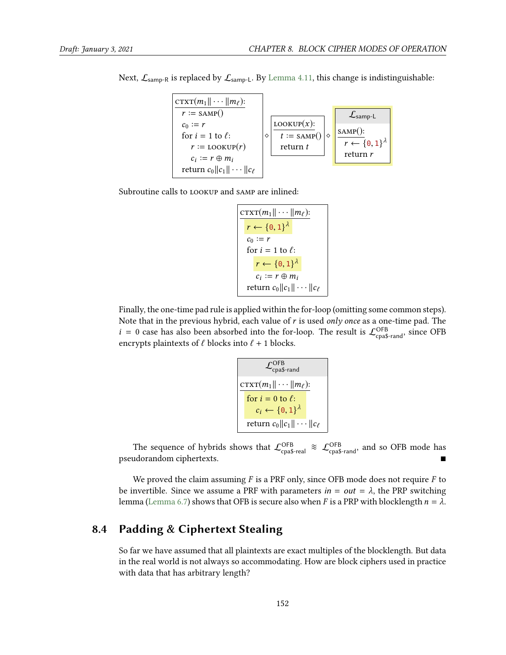| CTXT $(m_1\ \cdots\ m_\ell)$ :          |                                |                                  |
|-----------------------------------------|--------------------------------|----------------------------------|
| $r := \text{SAMP}()$                    |                                | $\mathcal{L}_{\text{sample-L}}$  |
| $c_0 := r$                              | LOOKUP $(x)$ :                 | $SAMP$ ):                        |
| for $i = 1$ to $\ell$ :                 | $t \coloneqq$ SAMP()<br>♦<br>◇ |                                  |
| $r \coloneqq \text{LOOKUP}(r)$          | return t                       | $r \leftarrow \{0,1\}^{\lambda}$ |
| $c_i \coloneq r \oplus m_i$             |                                | return r                         |
| return $c_0    c_1    \cdots    c_\ell$ |                                |                                  |

Next,  $\mathcal{L}_{\text{sampleR}}$  is replaced by  $\mathcal{L}_{\text{sampleL}}$ . By [Lemma 4.11,](#page--1-1) this change is indistinguishable:

Subroutine calls to lookup and samp are inlined:

$$
\begin{array}{|l|}\n\hline\n\text{CTXT}(m_1 \|\cdots \| m_\ell):\n\hline\n\begin{aligned}\nr &\leftarrow \{0, 1\}^\lambda \\
c_0 &:= r \\
\text{for } i = 1 \text{ to } \ell:\n\end{aligned} \\
\hline\n\begin{aligned}\nr &\leftarrow \{0, 1\}^\lambda \\
c_i &:= r \oplus m_i \\
\text{return } c_0 \|c_1\| \cdots \|c_\ell\n\end{aligned}\n\end{array}
$$

Finally, the one-time pad rule is applied within the for-loop (omitting some common steps). Note that in the previous hybrid, each value of  $r$  is used only once as a one-time pad. The  $i = 0$  case has also been absorbed into the for-loop. The result is  $\mathcal{L}_{\text{cpa$-rand}}^{\text{OFB}}$ , since OFB encrypts plaintexts of  $\ell$  blocks into  $\ell + 1$  blocks.

| $\mathcal{L}_{\text{cpa$-rand}}^{\text{OFB}}$                 |  |  |  |  |  |
|---------------------------------------------------------------|--|--|--|--|--|
| CTXT $(m_1\ \cdots\ m_\ell)$ :                                |  |  |  |  |  |
| for $i = 0$ to $\ell$ :<br>$c_i \leftarrow \{0,1\}^{\lambda}$ |  |  |  |  |  |
|                                                               |  |  |  |  |  |
| return $c_0    c_1    \cdots    c_\ell$                       |  |  |  |  |  |

The sequence of hybrids shows that  $\mathcal{L}_{\text{coa$-real}}^{\text{OFB}} \; \approx \; \mathcal{L}_{\text{coa$-rand}}^{\text{OFB}}$ , and so OFB mode has pseudorandom ciphertexts.

We proved the claim assuming  $F$  is a PRF only, since OFB mode does not require  $F$  to be invertible. Since we assume a PRF with parameters  $in = out = \lambda$ , the PRP switching lemma [\(Lemma 6.7\)](#page--1-2) shows that OFB is secure also when *F* is a PRP with blocklength *n* =  $λ$ .

## 8.4 Padding & Ciphertext Stealing

So far we have assumed that all plaintexts are exact multiples of the blocklength. But data in the real world is not always so accommodating. How are block ciphers used in practice with data that has arbitrary length?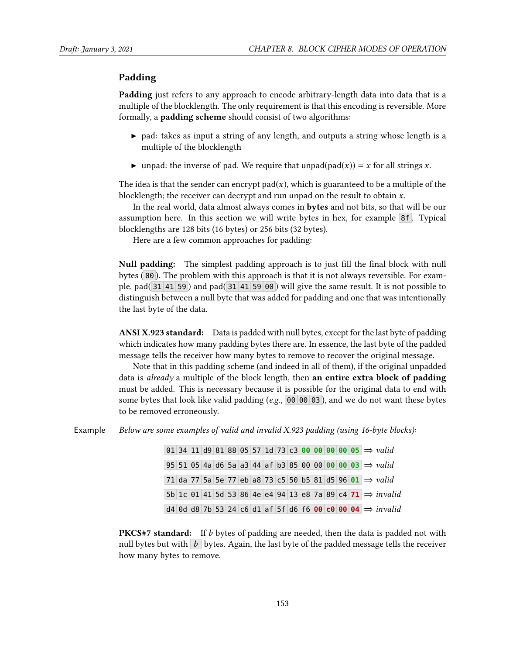#### Padding

Padding just refers to any approach to encode arbitrary-length data into data that is a multiple of the blocklength. The only requirement is that this encoding is reversible. More formally, a padding scheme should consist of two algorithms:

- $\triangleright$  pad: takes as input a string of any length, and outputs a string whose length is a multiple of the blocklength
- ightharpoonupand: the inverse of pad. We require that unpad(pad(x)) = x for all strings x.

The idea is that the sender can encrypt  $pad(x)$ , which is guaranteed to be a multiple of the blocklength; the receiver can decrypt and run unpad on the result to obtain  $x$ .

In the real world, data almost always comes in bytes and not bits, so that will be our assumption here. In this section we will write bytes in hex, for example 8f . Typical blocklengths are 128 bits (16 bytes) or 256 bits (32 bytes).

Here are a few common approaches for padding:

Null padding: The simplest padding approach is to just fill the final block with null bytes ( 00 ). The problem with this approach is that it is not always reversible. For example, pad( <sup>31</sup> <sup>41</sup> <sup>59</sup> ) and pad( <sup>31</sup> <sup>41</sup> <sup>59</sup> <sup>00</sup> ) will give the same result. It is not possible to distinguish between a null byte that was added for padding and one that was intentionally the last byte of the data.

ANSI X.923 standard: Data is padded with null bytes, except for the last byte of padding which indicates how many padding bytes there are. In essence, the last byte of the padded message tells the receiver how many bytes to remove to recover the original message.

Note that in this padding scheme (and indeed in all of them), if the original unpadded data is *already* a multiple of the block length, then **an entire extra block of padding** must be added. This is necessary because it is possible for the original data to end with some bytes that look like valid padding (e.g.,  $00\,00\,03$ ), and we do not want these bytes to be removed erroneously.

Example Below are some examples of valid and invalid X.923 padding (using 16-byte blocks):

01 34 11 d9 81 88 05 57 1d 73 c3 **00 00 00 00 05** ⇒ valid 95 51 05 4a d6 5a a3 44 af b3 85 00 00 **00 00 03** ⇒ valid 71 da 77 5a 5e 77 eb a8 73 c5 50 b5 81 d5 96 **01** ⇒ valid 5b 1c 01 41 5d 53 86 4e e4 94 13 e8 7a 89 c4 **71** ⇒ invalid d4 0d d8 7b 53 24 c6 d1 af 5f d6 f6 **00 c0 00 04** ⇒ invalid

**PKCS#7 standard:** If b bytes of padding are needed, then the data is padded not with null bytes but with  $\bar{b}$  bytes. Again, the last byte of the padded message tells the receiver how many bytes to remove.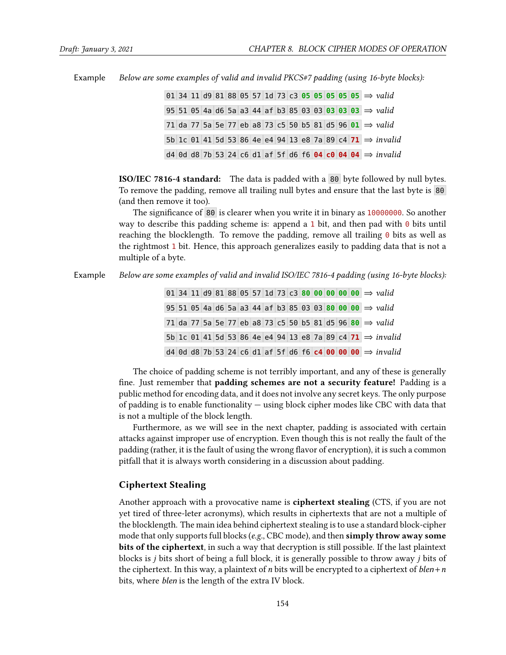Example Below are some examples of valid and invalid PKCS#7 padding (using 16-byte blocks):

|  |  |  |  |  |  |  |  | 01 34 11 d9 81 88 05 57 1d 73 c3 05 05 05 05 05 $\Rightarrow$ valid   |
|--|--|--|--|--|--|--|--|-----------------------------------------------------------------------|
|  |  |  |  |  |  |  |  | 95 51 05 4a d6 5a a3 44 af b3 85 03 03 03 03 03 $\Rightarrow$ valid   |
|  |  |  |  |  |  |  |  | 71 da 77 5a 5e 77 eb a8 73 c5 50 b5 81 d5 96 01 ⇒ valid               |
|  |  |  |  |  |  |  |  | 5b 1c 01 41 5d 53 86 4e e4 94 13 e8 7a 89 c4 71 $\Rightarrow$ invalid |
|  |  |  |  |  |  |  |  | d4 0d d8 7b 53 24 c6 d1 af 5f d6 f6 04 c0 04 04 $\Rightarrow$ invalid |

ISO/IEC 7816-4 standard: The data is padded with a 80 byte followed by null bytes. To remove the padding, remove all trailing null bytes and ensure that the last byte is 80 (and then remove it too).

The significance of 80 is clearer when you write it in binary as 10000000. So another way to describe this padding scheme is: append a 1 bit, and then pad with 0 bits until reaching the blocklength. To remove the padding, remove all trailing  $\theta$  bits as well as the rightmost 1 bit. Hence, this approach generalizes easily to padding data that is not a multiple of a byte.

Example Below are some examples of valid and invalid ISO/IEC 7816-4 padding (using 16-byte blocks):

|  |  |  |  |  |  |  |  | 01 34 11 d9 81 88 05 57 1d 73 c3 80 00 00 00 00 $\Rightarrow$ valid   |
|--|--|--|--|--|--|--|--|-----------------------------------------------------------------------|
|  |  |  |  |  |  |  |  | 95 51 05 4a d6 5a a3 44 af b3 85 03 03 80 00 00 $\Rightarrow$ valid   |
|  |  |  |  |  |  |  |  | 71 da 77 5a 5e 77 eb a8 73 c5 50 b5 81 d5 96 80 $\Rightarrow$ valid   |
|  |  |  |  |  |  |  |  | 5b 1c 01 41 5d 53 86 4e e4 94 13 e8 7a 89 c4 71 ⇒ invalid             |
|  |  |  |  |  |  |  |  | d4 0d d8 7b 53 24 c6 d1 af 5f d6 f6 c4 00 00 00 $\Rightarrow$ invalid |

The choice of padding scheme is not terribly important, and any of these is generally fine. Just remember that padding schemes are not a security feature! Padding is a public method for encoding data, and it does not involve any secret keys. The only purpose of padding is to enable functionality — using block cipher modes like CBC with data that is not a multiple of the block length.

Furthermore, as we will see in the next chapter, padding is associated with certain attacks against improper use of encryption. Even though this is not really the fault of the padding (rather, it is the fault of using the wrong flavor of encryption), it is such a common pitfall that it is always worth considering in a discussion about padding.

#### Ciphertext Stealing

Another approach with a provocative name is ciphertext stealing (CTS, if you are not yet tired of three-leter acronyms), which results in ciphertexts that are not a multiple of the blocklength. The main idea behind ciphertext stealing is to use a standard block-cipher mode that only supports full blocks ( $e.g.,$  CBC mode), and then simply throw away some bits of the ciphertext, in such a way that decryption is still possible. If the last plaintext blocks is j bits short of being a full block, it is generally possible to throw away j bits of the ciphertext. In this way, a plaintext of *n* bits will be encrypted to a ciphertext of  $blen+n$ bits, where blen is the length of the extra IV block.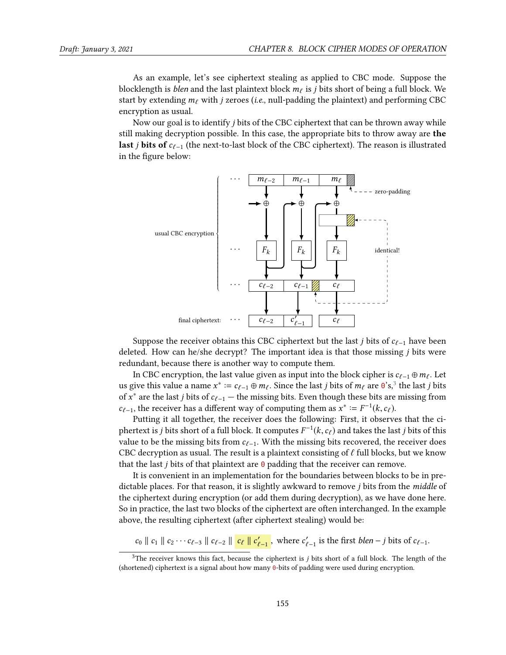As an example, let's see ciphertext stealing as applied to CBC mode. Suppose the blocklength is blen and the last plaintext block  $m_\ell$  is j bits short of being a full block. We start by extending  $m_\ell$  with j zeroes (i.e., null-padding the plaintext) and performing CBC encryption as usual.

Now our goal is to identify j bits of the CBC ciphertext that can be thrown away while still making decryption possible. In this case, the appropriate bits to throw away are the **last j bits of**  $c_{\ell-1}$  (the next-to-last block of the CBC ciphertext). The reason is illustrated in the figure below:



Suppose the receiver obtains this CBC ciphertext but the last j bits of  $c_{\ell-1}$  have been deleted. How can he/she decrypt? The important idea is that those missing j bits were redundant, because there is another way to compute them.

In CBC encryption, the last value given as input into the block cipher is  $c_{\ell-1} \oplus m_{\ell}$ . Let us give this value a name  $x^* := c_{\ell-1} \oplus m_{\ell}$ . Since the last j bits of  $m_{\ell}$  are 0's,<sup>[3](#page-11-0)</sup> the last j bits of  $x^*$  are the last i bits of  $c_{\ell}$ ,  $\ldots$  the missing bits. Even though these bits are missing from of x<sup>\*</sup> are the last *j* bits of  $c_{\ell-1}$  — the missing bits. Even though these bits are missing from<br> $c_{\ell}$  + the receiver has a different way of computing them as  $x^* := F^{-1}(k, c_2)$  $c_{\ell-1}$ , the receiver has a different way of computing them as  $x^* := F^{-1}(k, c_{\ell})$ .<br>Putting it all together, the receiver does the following: First, it observe

Putting it all together, the receiver does the following: First, it observes that the ciphertext is *j* bits short of a full block. It computes  $F^{-1}(k, c_\ell)$  and takes the last *j* bits of this value to be the missing bits from  $c_0$ . With the missing bits recovered, the receiver does value to be the missing bits from  $c_{\ell-1}$ . With the missing bits recovered, the receiver does CBC decryption as usual. The result is a plaintext consisting of  $\ell$  full blocks, but we know that the last *j* bits of that plaintext are  $\theta$  padding that the receiver can remove.

It is convenient in an implementation for the boundaries between blocks to be in predictable places. For that reason, it is slightly awkward to remove j bits from the middle of the ciphertext during encryption (or add them during decryption), as we have done here. So in practice, the last two blocks of the ciphertext are often interchanged. In the example above, the resulting ciphertext (after ciphertext stealing) would be:

<span id="page-11-0"></span> $c_0 || c_1 || c_2 \cdots c_{\ell-3} || c_{\ell-2} || c_{\ell} || c'_{\ell-1},$  where  $c'_{\ell-1}$  is the first *blen* – *j* bits of  $c_{\ell-1}.$ 

 $3$ The receiver knows this fact, because the ciphertext is j bits short of a full block. The length of the (shortened) ciphertext is a signal about how many 0-bits of padding were used during encryption.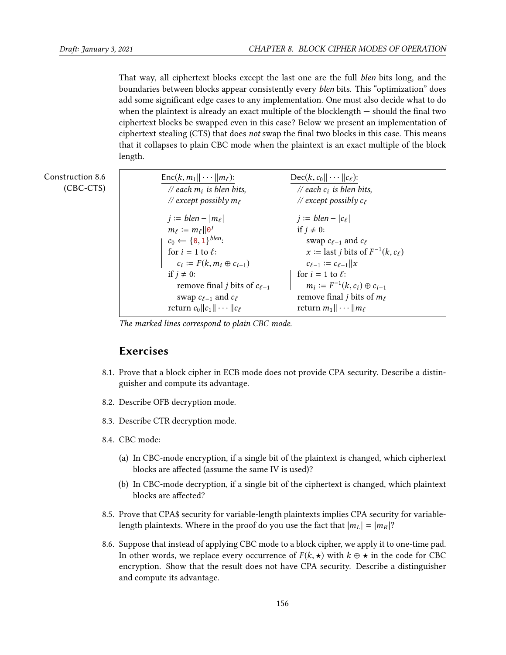That way, all ciphertext blocks except the last one are the full blen bits long, and the boundaries between blocks appear consistently every blen bits. This "optimization" does add some signicant edge cases to any implementation. One must also decide what to do when the plaintext is already an exact multiple of the blocklength  $-$  should the final two ciphertext blocks be swapped even in this case? Below we present an implementation of ciphertext stealing (CTS) that does *not* swap the final two blocks in this case. This means that it collapses to plain CBC mode when the plaintext is an exact multiple of the block length.

| Construction 8.6<br>$(CBC-CTS)$ | $\textsf{Enc}(k, m_1 \  \cdots \  m_\ell)$ :<br>// each $m_i$ is blen bits,<br>// except possibly $m_{\ell}$                                                                                                                                                                                                                  | $\text{Dec}(k, c_0    \cdots    c_{\ell})$ :<br>// each $c_i$ is blen bits,<br>// except possibly $c_{\ell}$                                                                                                                                                                                                             |
|---------------------------------|-------------------------------------------------------------------------------------------------------------------------------------------------------------------------------------------------------------------------------------------------------------------------------------------------------------------------------|--------------------------------------------------------------------------------------------------------------------------------------------------------------------------------------------------------------------------------------------------------------------------------------------------------------------------|
|                                 | $i := blen -  m_{\ell} $<br>$m_{\ell} := m_{\ell}    \mathbf{0}^j$<br>$c_0 \leftarrow \{0, 1\}^{blen}$<br>for $i = 1$ to $\ell$ :<br>$c_i \coloneqq F(k, m_i \oplus c_{i-1})$<br>if $j \neq 0$ :<br>remove final <i>j</i> bits of $c_{\ell-1}$<br>swap $c_{\ell-1}$ and $c_{\ell}$<br>return $c_0    c_1    \cdots    c_\ell$ | $i := blen -  c_{\ell} $<br>if $i \neq 0$ :<br>swap $c_{\ell-1}$ and $c_{\ell}$<br>$x \coloneqq$ last j bits of $F^{-1}(k, c_\ell)$<br>$c_{\ell-1} := c_{\ell-1}   x$<br>for $i = 1$ to $\ell$ :<br>$m_i := F^{-1}(k, c_i) \oplus c_{i-1}$<br>remove final <i>j</i> bits of $m_\ell$<br>return $m_1    \cdots    m_\ell$ |

The marked lines correspond to plain CBC mode.

#### Exercises

- 8.1. Prove that a block cipher in ECB mode does not provide CPA security. Describe a distinguisher and compute its advantage.
- 8.2. Describe OFB decryption mode.
- 8.3. Describe CTR decryption mode.
- 8.4. CBC mode:
	- (a) In CBC-mode encryption, if a single bit of the plaintext is changed, which ciphertext blocks are affected (assume the same IV is used)?
	- (b) In CBC-mode decryption, if a single bit of the ciphertext is changed, which plaintext blocks are affected?
- 8.5. Prove that CPA\$ security for variable-length plaintexts implies CPA security for variablelength plaintexts. Where in the proof do you use the fact that  $|m_L| = |m_R|$ ?
- 8.6. Suppose that instead of applying CBC mode to a block cipher, we apply it to one-time pad. In other words, we replace every occurrence of  $F(k, \star)$  with  $k \oplus \star$  in the code for CBC encryption. Show that the result does not have CPA security. Describe a distinguisher and compute its advantage.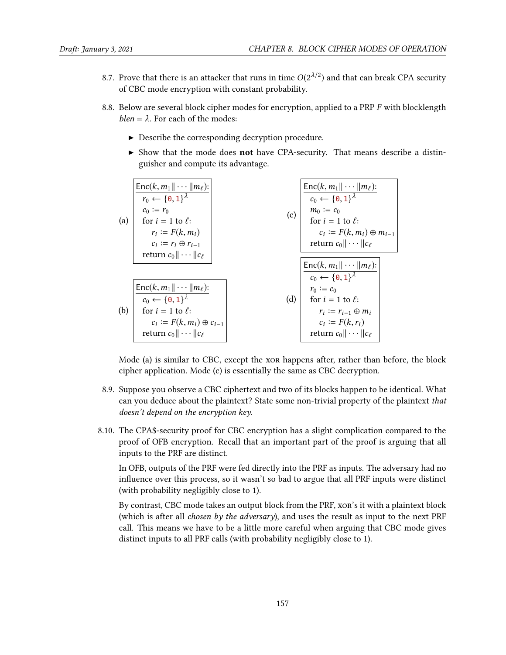- 8.7. Prove that there is an attacker that runs in time  $O(2^{\lambda/2})$  and that can break CPA security<br>of CBC mode encryption with constant probability of CBC mode encryption with constant probability.
- 8.8. Below are several block cipher modes for encryption, applied to a PRP F with blocklength  $blen = \lambda$ . For each of the modes:
	- $\triangleright$  Describe the corresponding decryption procedure.
	- $\triangleright$  Show that the mode does not have CPA-security. That means describe a distinguisher and compute its advantage.

|     | $\textsf{Enc}(k, m_1 \  \cdots \  m_\ell)$ : |     | $\textsf{Enc}(k, m_1 \  \cdots \  m_\ell)$ : |
|-----|----------------------------------------------|-----|----------------------------------------------|
|     | $r_0 \leftarrow \{0,1\}^{\lambda}$           |     | $c_0 \leftarrow \{0,1\}^{\lambda}$           |
|     | $c_0 := r_0$                                 | (c) | $m_0 := c_0$                                 |
| (a) | for $i = 1$ to $\ell$ :                      |     | for $i = 1$ to $\ell$ :                      |
|     | $r_i := F(k, m_i)$                           |     | $c_i \coloneqq F(k, m_i) \oplus m_{i-1}$     |
|     | $c_i := r_i \oplus r_{i-1}$                  |     | return $c_0    \cdots    c_\ell$             |
|     | return $c_0    \cdots    c_\ell$             |     |                                              |
|     |                                              |     | $\textsf{Enc}(k, m_1 \  \cdots \  m_\ell)$ : |
|     |                                              |     | $c_0 \leftarrow \{0,1\}^{\lambda}$           |
|     | $\textsf{Enc}(k, m_1 \  \cdots \  m_\ell)$ : |     | $r_0 := c_0$                                 |
|     | $c_0 \leftarrow \{0,1\}^{\lambda}$           | (d) | for $i = 1$ to $\ell$ :                      |
| (b) | for $i = 1$ to $\ell$ :                      |     | $r_i := r_{i-1} \oplus m_i$                  |
|     | $c_i \coloneqq F(k, m_i) \oplus c_{i-1}$     |     | $c_i := F(k, r_i)$                           |
|     | return $c_0 \ \cdots\  c_\ell$               |     | return $c_0    \cdots    c_\ell$             |

Mode (a) is similar to CBC, except the xor happens after, rather than before, the block cipher application. Mode (c) is essentially the same as CBC decryption.

- 8.9. Suppose you observe a CBC ciphertext and two of its blocks happen to be identical. What can you deduce about the plaintext? State some non-trivial property of the plaintext that doesn't depend on the encryption key.
- 8.10. The CPA\$-security proof for CBC encryption has a slight complication compared to the proof of OFB encryption. Recall that an important part of the proof is arguing that all inputs to the PRF are distinct.

In OFB, outputs of the PRF were fed directly into the PRF as inputs. The adversary had no influence over this process, so it wasn't so bad to argue that all PRF inputs were distinct (with probability negligibly close to 1).

By contrast, CBC mode takes an output block from the PRF, xor's it with a plaintext block (which is after all *chosen by the adversary*), and uses the result as input to the next PRF call. This means we have to be a little more careful when arguing that CBC mode gives distinct inputs to all PRF calls (with probability negligibly close to 1).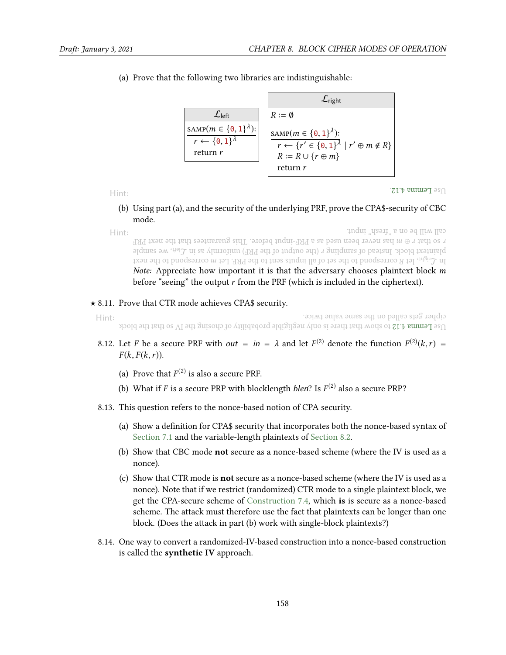Hint:

|                                                                                     | $\mathcal{L}_{\text{right}}$                                                                                                                             |
|-------------------------------------------------------------------------------------|----------------------------------------------------------------------------------------------------------------------------------------------------------|
| $\mathcal{L}_{\mathsf{left}}$                                                       | $R := \emptyset$                                                                                                                                         |
| SAMP $(m \in \{0, 1\}^{\lambda})$ :<br>$r \leftarrow \{0,1\}^{\lambda}$<br>return r | SAMP $(m \in \{0, 1\}^{\lambda})$ :<br>$r \leftarrow \{r' \in \{0,1\}^{\lambda} \mid r' \oplus m \notin R\}$<br>$R := R \cup \{r \oplus m\}$<br>return r |

(a) Prove that the following two libraries are indistinguishable:

 $\bigcap$  semma 4.12

#### (b) Using part (a), and the security of the underlying PRF, prove the CPA\$-security of CBC mode.

Hint: correspond to the next measure to the set of all inputs sent to the PRF. Let  $m$  roogenous to the  $\ln m$ plaintext block. Instead of sampling r (the output of the PRF) uniformly as in L<sub>left</sub>, we sample  $\tau$  so that  $\theta$  and  $\theta$  are  $\theta$  as a probal input before. This guarantees that the next PRF call will be on <sup>a</sup> "fresh" input. Note: Appreciate how important it is that the adversary chooses plaintext block  $m$ before "seeing" the output  $r$  from the PRF (which is included in the ciphertext).

#### $\star$  8.11. Prove that CTR mode achieves CPA\$ security.

Hint: Use [Lemma](#page--1-3) 4.12 to show that there is only negligible probability of chosing the IV so that the block cipher gets called on the same value twice.

- 8.12. Let *F* be a secure PRF with *out* = *in* =  $\lambda$  and let  $F^{(2)}$  denote the function  $F^{(2)}(k, r) = F(k_0 F(k_0 r))$  $F(k, F(k,r)).$ 
	- (a) Prove that  $F^{(2)}$  is also a secure PRF.
	- (b) What if *F* is a secure PRP with blocklength *blen*? Is  $F^{(2)}$  also a secure PRP?
- 8.13. This question refers to the nonce-based notion of CPA security.
	- (a) Show a definition for CPA\$ security that incorporates both the nonce-based syntax of [Section 7.1](#page--1-4) and the variable-length plaintexts of [Section 8.2.](#page-3-0)
	- (b) Show that CBC mode not secure as a nonce-based scheme (where the IV is used as a nonce).
	- (c) Show that CTR mode is not secure as a nonce-based scheme (where the IV is used as a nonce). Note that if we restrict (randomized) CTR mode to a single plaintext block, we get the CPA-secure scheme of [Construction 7.4,](#page--1-0) which is is secure as a nonce-based scheme. The attack must therefore use the fact that plaintexts can be longer than one block. (Does the attack in part (b) work with single-block plaintexts?)
- 8.14. One way to convert a randomized-IV-based construction into a nonce-based construction is called the synthetic IV approach.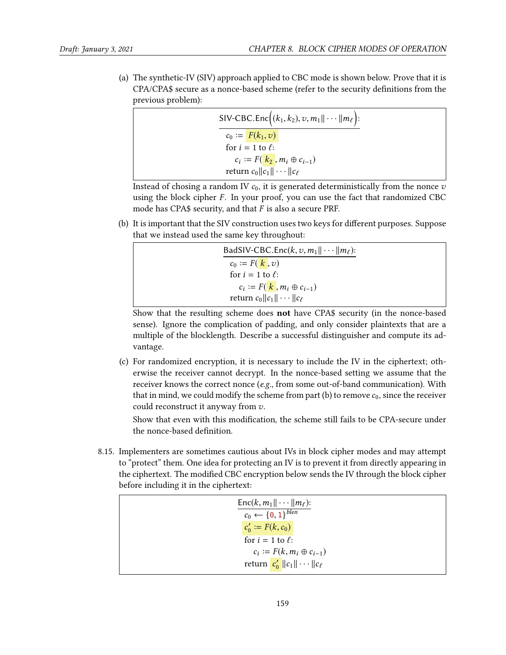(a) The synthetic-IV (SIV) approach applied to CBC mode is shown below. Prove that it is CPA/CPA\$ secure as a nonce-based scheme (refer to the security definitions from the previous problem):

SIV-CBC.Enc
$$
((k_1, k_2), v, m_1 || \cdots || m_\ell)
$$
:  
\n
$$
c_0 := F(k_1, v)
$$
\nfor  $i = 1$  to  $\ell$ :  
\n
$$
c_i := F(\frac{k_2}{k_1}, m_i \oplus c_{i-1})
$$
\nreturn  $c_0 ||c_1|| \cdots || c_\ell$ 

Instead of chosing a random IV  $c_0$ , it is generated deterministically from the nonce  $v$ <br>using the block cipher  $F$ . In your proof, you can use the fact that randomized CBC using the block cipher  $F$ . In your proof, you can use the fact that randomized CBC mode has CPA\$ security, and that  $F$  is also a secure PRF.

(b) It is important that the SIV construction uses two keys for different purposes. Suppose that we instead used the same key throughout:

| BadSIV-CBC.Enc $(k, v, m_1    \cdots    m_\ell)$ : |
|----------------------------------------------------|
| $c_0 := F(k, v)$                                   |
| for $i = 1$ to $\ell$ :                            |
| $c_i \coloneqq F(k, m_i \oplus c_{i-1})$           |
| return $c_0   c_1   \cdots   c_\ell$               |
|                                                    |

Show that the resulting scheme does not have CPA\$ security (in the nonce-based sense). Ignore the complication of padding, and only consider plaintexts that are a multiple of the blocklength. Describe a successful distinguisher and compute its advantage.

(c) For randomized encryption, it is necessary to include the IV in the ciphertext; otherwise the receiver cannot decrypt. In the nonce-based setting we assume that the receiver knows the correct nonce  $(e.g., from some out-of-band communication)$ . With that in mind, we could modify the scheme from part (b) to remove  $c_0$ , since the receiver could reconstruct it anyway from v.

Show that even with this modification, the scheme still fails to be CPA-secure under the nonce-based definition.

8.15. Implementers are sometimes cautious about IVs in block cipher modes and may attempt to "protect" them. One idea for protecting an IV is to prevent it from directly appearing in the ciphertext. The modified CBC encryption below sends the IV through the block cipher before including it in the ciphertext:

$$
\frac{\text{Enc}(k, m_1 \| \cdots \| m_{\ell}) :}{c_0 \leftarrow \{0, 1\}^{blen}}
$$
\n
$$
\frac{c'_0 := F(k, c_0)}{\text{for } i = 1 \text{ to } \ell :}
$$
\n
$$
c_i := F(k, m_i \oplus c_{i-1})
$$
\nreturn 
$$
\frac{c'_0 \|c_1\| \cdots \|c_{\ell}}{c_{\ell}}
$$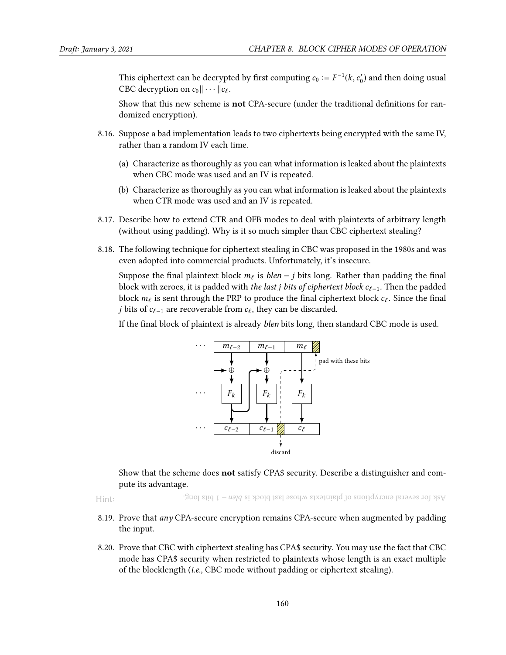This ciphertext can be decrypted by first computing  $c_0 := F^{-1}(k, c'_0)$  and then doing usual CBC decryption on  $c_0 \parallel$  will be CBC decryption on  $c_0 || \cdots || c_{\ell}$ .

Show that this new scheme is not CPA-secure (under the traditional definitions for randomized encryption).

- 8.16. Suppose a bad implementation leads to two ciphertexts being encrypted with the same IV, rather than a random IV each time.
	- (a) Characterize as thoroughly as you can what information is leaked about the plaintexts when CBC mode was used and an IV is repeated.
	- (b) Characterize as thoroughly as you can what information is leaked about the plaintexts when CTR mode was used and an IV is repeated.
- 8.17. Describe how to extend CTR and OFB modes to deal with plaintexts of arbitrary length (without using padding). Why is it so much simpler than CBC ciphertext stealing?
- 8.18. The following technique for ciphertext stealing in CBC was proposed in the 1980s and was even adopted into commercial products. Unfortunately, it's insecure.

Suppose the final plaintext block  $m_\ell$  is blen − j bits long. Rather than padding the final block with zeroes, it is padded with the last j bits of ciphertext block  $c_{\ell-1}$ . Then the padded block  $m_\ell$  is sent through the PRP to produce the final ciphertext block  $c_\ell$ . Since the final *j* bits of  $c_{\ell-1}$  are recoverable from  $c_{\ell}$ , they can be discarded.

If the final block of plaintext is already *blen* bits long, then standard CBC mode is used.



Show that the scheme does not satisfy CPA\$ security. Describe a distinguisher and compute its advantage.

Hint:

 $\beta$ its longs for several encryptions of plaintexts whose last block is player in playe.

- 8.19. Prove that  $any$  CPA-secure encryption remains CPA-secure when augmented by padding the input.
- <span id="page-16-0"></span>8.20. Prove that CBC with ciphertext stealing has CPA\$ security. You may use the fact that CBC mode has CPA\$ security when restricted to plaintexts whose length is an exact multiple of the blocklength (i.e., CBC mode without padding or ciphertext stealing).